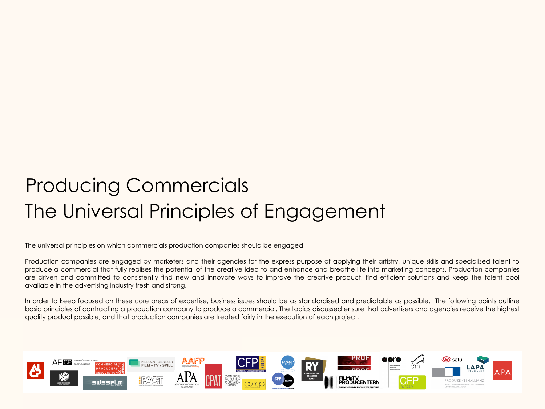# The Universal Principles of Engagement Producing Commercials

The universal principles on which commercials production companies should be engaged

Production companies are engaged by marketers and their agencies for the express purpose of applying their artistry, unique skills and specialised talent to produce a commercial that fully realises the potential of the creative idea to and enhance and breathe life into marketing concepts. Production companies are driven and committed to consistently find new and innovate ways to improve the creative product, find efficient solutions and keep the talent pool available in the advertising industry fresh and strong.

In order to keep focused on these core areas of expertise, business issues should be as standardised and predictable as possible. The following points outline basic principles of contracting a production company to produce a commercial. The topics discussed ensure that advertisers and agencies receive the highest quality product possible, and that production companies are treated fairly in the execution of each project.

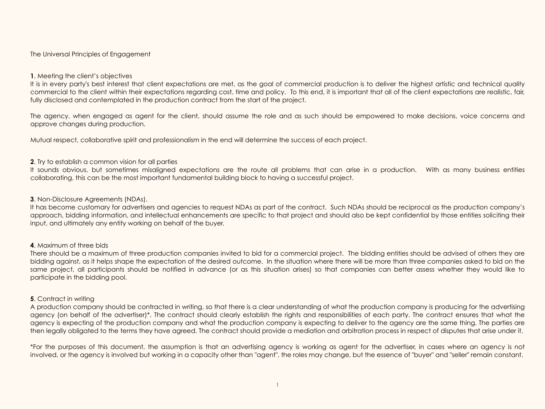#### The Universal Principles of Engagement

#### **1**. Meeting the client's objectives

It is in every party's best interest that client expectations are met, as the goal of commercial production is to deliver the highest artistic and technical quality commercial to the client within their expectations regarding cost, time and policy. To this end, it is important that all of the client expectations are realistic, fair, fully disclosed and contemplated in the production contract from the start of the project.

The agency, when engaged as agent for the client, should assume the role and as such should be empowered to make decisions, voice concerns and approve changes during production.

Mutual respect, collaborative spirit and professionalism in the end will determine the success of each project.

## **2**. Try to establish a common vision for all parties

It sounds obvious, but sometimes misaligned expectations are the route all problems that can arise in a production. With as many business entities collaborating, this can be the most important fundamental building block to having a successful project.

#### **3**. Non-Disclosure Agreements (NDAs).

It has become customary for advertisers and agencies to request NDAs as part of the contract. Such NDAs should be reciprocal as the production company's approach, bidding information, and intellectual enhancements are specific to that project and should also be kept confidential by those entities soliciting their input, and ultimately any entity working on behalf of the buyer.

#### **4**. Maximum of three bids

There should be a maximum of three production companies invited to bid for a commercial project. The bidding entities should be advised of others they are bidding against, as it helps shape the expectation of the desired outcome. In the situation where there will be more than three companies asked to bid on the same project, all participants should be notified in advance (or as this situation arises) so that companies can better assess whether they would like to participate in the bidding pool.

#### **5**. Contract in writing

A production company should be contracted in writing, so that there is a clear understanding of what the production company is producing for the advertising agency (on behalf of the advertiser)\*. The contract should clearly establish the rights and responsibilities of each party. The contract ensures that what the agency is expecting of the production company and what the production company is expecting to deliver to the agency are the same thing. The parties are then legally obligated to the terms they have agreed. The contract should provide a mediation and arbitration process in respect of disputes that arise under it.

\*For the purposes of this document, the assumption is that an advertising agency is working as agent for the advertiser, in cases where an agency is not involved, or the agency is involved but working in a capacity other than "agent", the roles may change, but the essence of "buyer" and "seller" remain constant.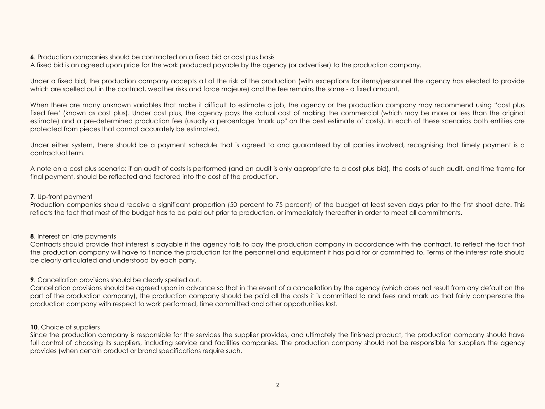**6.** Production companies should be contracted on a fixed bid or cost plus basis

A fixed bid is an agreed upon price for the work produced payable by the agency (or advertiser) to the production company.

Under a fixed bid, the production company accepts all of the risk of the production (with exceptions for items/personnel the agency has elected to provide which are spelled out in the contract, weather risks and force majeure) and the fee remains the same - a fixed amount.

When there are many unknown variables that make it difficult to estimate a job, the agency or the production company may recommend using "cost plus fixed fee' (known as cost plus). Under cost plus, the agency pays the actual cost of making the commercial (which may be more or less than the original estimate) and a pre-determined production fee (usually a percentage "mark up" on the best estimate of costs). In each of these scenarios both entities are protected from pieces that cannot accurately be estimated.

Under either system, there should be a payment schedule that is agreed to and guaranteed by all parties involved, recognising that timely payment is a contractual term.

A note on a cost plus scenario: if an audit of costs is performed (and an audit is only appropriate to a cost plus bid), the costs of such audit, and time frame for final payment, should be reflected and factored into the cost of the production.

## **7**. Up-front payment

Production companies should receive a significant proportion (50 percent to 75 percent) of the budget at least seven days prior to the first shoot date. This reflects the fact that most of the budget has to be paid out prior to production, or immediately thereafter in order to meet all commitments.

# **8.** Interest on late payments

Contracts should provide that interest is payable if the agency fails to pay the production company in accordance with the contract, to reflect the fact that the production company will have to finance the production for the personnel and equipment it has paid for or committed to. Terms of the interest rate should be clearly articulated and understood by each party.

**9**. Cancellation provisions should be clearly spelled out.

Cancellation provisions should be agreed upon in advance so that in the event of a cancellation by the agency (which does not result from any default on the part of the production company), the production company should be paid all the costs it is committed to and fees and mark up that fairly compensate the production company with respect to work performed, time committed and other opportunities lost.

# **10**. Choice of suppliers

Since the production company is responsible for the services the supplier provides, and ultimately the finished product, the production company should have full control of choosing its suppliers, including service and facilities companies. The production company should not be responsible for suppliers the agency provides (when certain product or brand specifications require such.